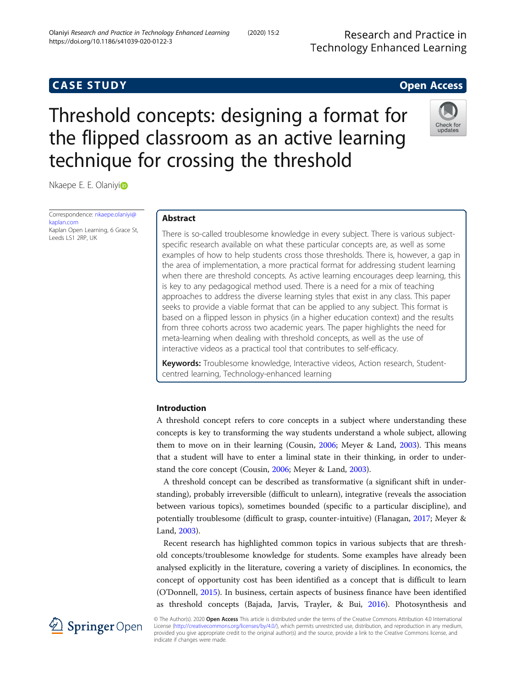Research and Practice in **Technology Enhanced Learning** 

# **CASE STUDY CASE STUDY Open Access**

# Threshold concepts: designing a format for the flipped classroom as an active learning technique for crossing the threshold



Nkaepe E. E. Olaniyi<sup>o</sup>

Correspondence: [nkaepe.olaniyi@](mailto:nkaepe.olaniyi@kaplan.com) [kaplan.com](mailto:nkaepe.olaniyi@kaplan.com) Kaplan Open Learning, 6 Grace St, Leeds LS1 2RP, UK

# Abstract

There is so-called troublesome knowledge in every subject. There is various subjectspecific research available on what these particular concepts are, as well as some examples of how to help students cross those thresholds. There is, however, a gap in the area of implementation, a more practical format for addressing student learning when there are threshold concepts. As active learning encourages deep learning, this is key to any pedagogical method used. There is a need for a mix of teaching approaches to address the diverse learning styles that exist in any class. This paper seeks to provide a viable format that can be applied to any subject. This format is based on a flipped lesson in physics (in a higher education context) and the results from three cohorts across two academic years. The paper highlights the need for meta-learning when dealing with threshold concepts, as well as the use of interactive videos as a practical tool that contributes to self-efficacy.

Keywords: Troublesome knowledge, Interactive videos, Action research, Studentcentred learning, Technology-enhanced learning

# Introduction

A threshold concept refers to core concepts in a subject where understanding these concepts is key to transforming the way students understand a whole subject, allowing them to move on in their learning (Cousin, [2006;](#page-13-0) Meyer & Land, [2003](#page-14-0)). This means that a student will have to enter a liminal state in their thinking, in order to understand the core concept (Cousin, [2006;](#page-13-0) Meyer & Land, [2003](#page-14-0)).

A threshold concept can be described as transformative (a significant shift in understanding), probably irreversible (difficult to unlearn), integrative (reveals the association between various topics), sometimes bounded (specific to a particular discipline), and potentially troublesome (difficult to grasp, counter-intuitive) (Flanagan, [2017;](#page-13-0) Meyer & Land, [2003\)](#page-14-0).

Recent research has highlighted common topics in various subjects that are threshold concepts/troublesome knowledge for students. Some examples have already been analysed explicitly in the literature, covering a variety of disciplines. In economics, the concept of opportunity cost has been identified as a concept that is difficult to learn (O'Donnell, [2015](#page-14-0)). In business, certain aspects of business finance have been identified as threshold concepts (Bajada, Jarvis, Trayler, & Bui, [2016\)](#page-13-0). Photosynthesis and



© The Author(s). 2020 Open Access This article is distributed under the terms of the Creative Commons Attribution 4.0 International License [\(http://creativecommons.org/licenses/by/4.0/](http://creativecommons.org/licenses/by/4.0/)), which permits unrestricted use, distribution, and reproduction in any medium, provided you give appropriate credit to the original author(s) and the source, provide a link to the Creative Commons license, and indicate if changes were made.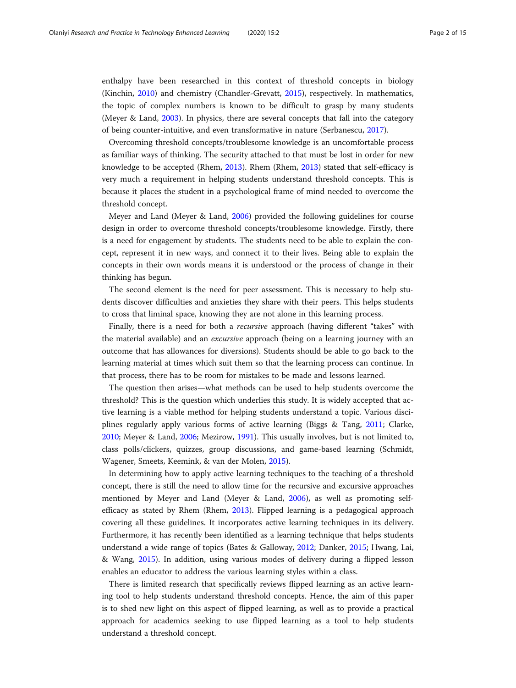enthalpy have been researched in this context of threshold concepts in biology (Kinchin, [2010\)](#page-14-0) and chemistry (Chandler-Grevatt, [2015\)](#page-13-0), respectively. In mathematics, the topic of complex numbers is known to be difficult to grasp by many students (Meyer & Land, [2003](#page-14-0)). In physics, there are several concepts that fall into the category of being counter-intuitive, and even transformative in nature (Serbanescu, [2017](#page-14-0)).

Overcoming threshold concepts/troublesome knowledge is an uncomfortable process as familiar ways of thinking. The security attached to that must be lost in order for new knowledge to be accepted (Rhem, [2013\)](#page-14-0). Rhem (Rhem, [2013\)](#page-14-0) stated that self-efficacy is very much a requirement in helping students understand threshold concepts. This is because it places the student in a psychological frame of mind needed to overcome the threshold concept.

Meyer and Land (Meyer & Land, [2006](#page-14-0)) provided the following guidelines for course design in order to overcome threshold concepts/troublesome knowledge. Firstly, there is a need for engagement by students. The students need to be able to explain the concept, represent it in new ways, and connect it to their lives. Being able to explain the concepts in their own words means it is understood or the process of change in their thinking has begun.

The second element is the need for peer assessment. This is necessary to help students discover difficulties and anxieties they share with their peers. This helps students to cross that liminal space, knowing they are not alone in this learning process.

Finally, there is a need for both a *recursive* approach (having different "takes" with the material available) and an *excursive* approach (being on a learning journey with an outcome that has allowances for diversions). Students should be able to go back to the learning material at times which suit them so that the learning process can continue. In that process, there has to be room for mistakes to be made and lessons learned.

The question then arises—what methods can be used to help students overcome the threshold? This is the question which underlies this study. It is widely accepted that active learning is a viable method for helping students understand a topic. Various disciplines regularly apply various forms of active learning (Biggs & Tang, [2011](#page-13-0); Clarke, [2010](#page-13-0); Meyer & Land, [2006](#page-14-0); Mezirow, [1991](#page-14-0)). This usually involves, but is not limited to, class polls/clickers, quizzes, group discussions, and game-based learning (Schmidt, Wagener, Smeets, Keemink, & van der Molen, [2015](#page-14-0)).

In determining how to apply active learning techniques to the teaching of a threshold concept, there is still the need to allow time for the recursive and excursive approaches mentioned by Meyer and Land (Meyer & Land, [2006](#page-14-0)), as well as promoting selfefficacy as stated by Rhem (Rhem, [2013\)](#page-14-0). Flipped learning is a pedagogical approach covering all these guidelines. It incorporates active learning techniques in its delivery. Furthermore, it has recently been identified as a learning technique that helps students understand a wide range of topics (Bates & Galloway, [2012;](#page-13-0) Danker, [2015](#page-13-0); Hwang, Lai, & Wang, [2015](#page-14-0)). In addition, using various modes of delivery during a flipped lesson enables an educator to address the various learning styles within a class.

There is limited research that specifically reviews flipped learning as an active learning tool to help students understand threshold concepts. Hence, the aim of this paper is to shed new light on this aspect of flipped learning, as well as to provide a practical approach for academics seeking to use flipped learning as a tool to help students understand a threshold concept.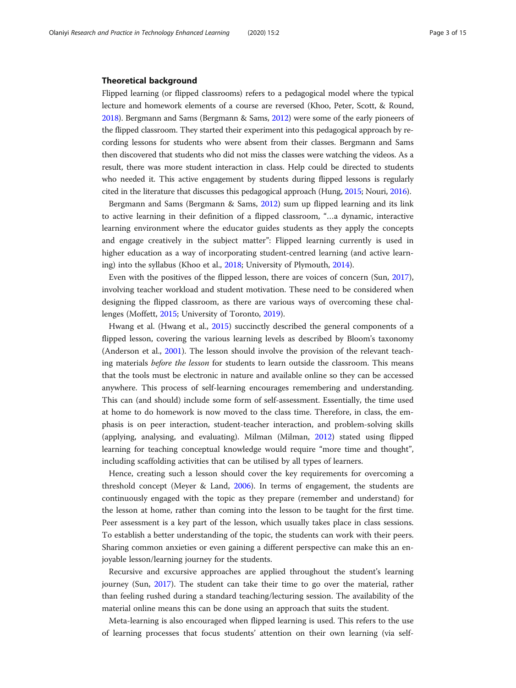# Theoretical background

Flipped learning (or flipped classrooms) refers to a pedagogical model where the typical lecture and homework elements of a course are reversed (Khoo, Peter, Scott, & Round, [2018\)](#page-14-0). Bergmann and Sams (Bergmann & Sams, [2012](#page-13-0)) were some of the early pioneers of the flipped classroom. They started their experiment into this pedagogical approach by recording lessons for students who were absent from their classes. Bergmann and Sams then discovered that students who did not miss the classes were watching the videos. As a result, there was more student interaction in class. Help could be directed to students who needed it. This active engagement by students during flipped lessons is regularly cited in the literature that discusses this pedagogical approach (Hung, [2015](#page-13-0); Nouri, [2016\)](#page-14-0).

Bergmann and Sams (Bergmann & Sams, [2012\)](#page-13-0) sum up flipped learning and its link to active learning in their definition of a flipped classroom, "…a dynamic, interactive learning environment where the educator guides students as they apply the concepts and engage creatively in the subject matter": Flipped learning currently is used in higher education as a way of incorporating student-centred learning (and active learning) into the syllabus (Khoo et al., [2018;](#page-14-0) University of Plymouth, [2014\)](#page-14-0).

Even with the positives of the flipped lesson, there are voices of concern (Sun, [2017](#page-14-0)), involving teacher workload and student motivation. These need to be considered when designing the flipped classroom, as there are various ways of overcoming these challenges (Moffett, [2015](#page-14-0); University of Toronto, [2019\)](#page-14-0).

Hwang et al. (Hwang et al., [2015](#page-14-0)) succinctly described the general components of a flipped lesson, covering the various learning levels as described by Bloom's taxonomy (Anderson et al., [2001\)](#page-13-0). The lesson should involve the provision of the relevant teaching materials *before the lesson* for students to learn outside the classroom. This means that the tools must be electronic in nature and available online so they can be accessed anywhere. This process of self-learning encourages remembering and understanding. This can (and should) include some form of self-assessment. Essentially, the time used at home to do homework is now moved to the class time. Therefore, in class, the emphasis is on peer interaction, student-teacher interaction, and problem-solving skills (applying, analysing, and evaluating). Milman (Milman, [2012](#page-14-0)) stated using flipped learning for teaching conceptual knowledge would require "more time and thought", including scaffolding activities that can be utilised by all types of learners.

Hence, creating such a lesson should cover the key requirements for overcoming a threshold concept (Meyer & Land, [2006\)](#page-14-0). In terms of engagement, the students are continuously engaged with the topic as they prepare (remember and understand) for the lesson at home, rather than coming into the lesson to be taught for the first time. Peer assessment is a key part of the lesson, which usually takes place in class sessions. To establish a better understanding of the topic, the students can work with their peers. Sharing common anxieties or even gaining a different perspective can make this an enjoyable lesson/learning journey for the students.

Recursive and excursive approaches are applied throughout the student's learning journey (Sun, [2017\)](#page-14-0). The student can take their time to go over the material, rather than feeling rushed during a standard teaching/lecturing session. The availability of the material online means this can be done using an approach that suits the student.

Meta-learning is also encouraged when flipped learning is used. This refers to the use of learning processes that focus students' attention on their own learning (via self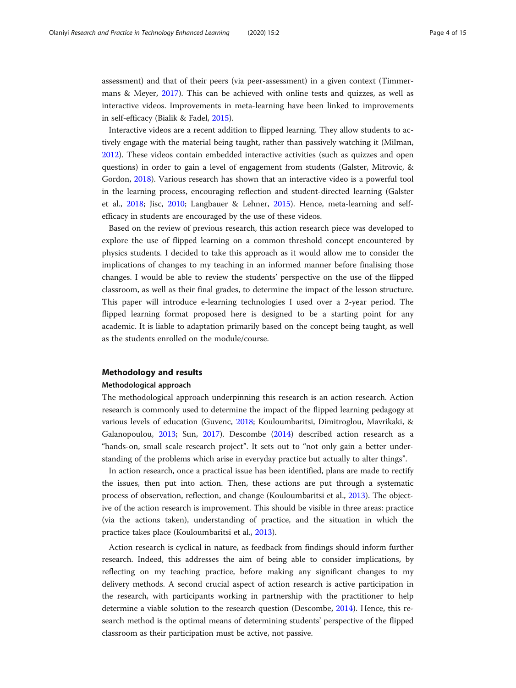assessment) and that of their peers (via peer-assessment) in a given context (Timmermans & Meyer, [2017](#page-14-0)). This can be achieved with online tests and quizzes, as well as interactive videos. Improvements in meta-learning have been linked to improvements in self-efficacy (Bialik & Fadel, [2015](#page-13-0)).

Interactive videos are a recent addition to flipped learning. They allow students to actively engage with the material being taught, rather than passively watching it (Milman, [2012](#page-14-0)). These videos contain embedded interactive activities (such as quizzes and open questions) in order to gain a level of engagement from students (Galster, Mitrovic, & Gordon, [2018\)](#page-13-0). Various research has shown that an interactive video is a powerful tool in the learning process, encouraging reflection and student-directed learning (Galster et al., [2018;](#page-13-0) Jisc, [2010](#page-14-0); Langbauer & Lehner, [2015](#page-14-0)). Hence, meta-learning and selfefficacy in students are encouraged by the use of these videos.

Based on the review of previous research, this action research piece was developed to explore the use of flipped learning on a common threshold concept encountered by physics students. I decided to take this approach as it would allow me to consider the implications of changes to my teaching in an informed manner before finalising those changes. I would be able to review the students' perspective on the use of the flipped classroom, as well as their final grades, to determine the impact of the lesson structure. This paper will introduce e-learning technologies I used over a 2-year period. The flipped learning format proposed here is designed to be a starting point for any academic. It is liable to adaptation primarily based on the concept being taught, as well as the students enrolled on the module/course.

# Methodology and results

# Methodological approach

The methodological approach underpinning this research is an action research. Action research is commonly used to determine the impact of the flipped learning pedagogy at various levels of education (Guvenc, [2018](#page-13-0); Kouloumbaritsi, Dimitroglou, Mavrikaki, & Galanopoulou, [2013;](#page-14-0) Sun, [2017\)](#page-14-0). Descombe [\(2014\)](#page-13-0) described action research as a "hands-on, small scale research project". It sets out to "not only gain a better understanding of the problems which arise in everyday practice but actually to alter things".

In action research, once a practical issue has been identified, plans are made to rectify the issues, then put into action. Then, these actions are put through a systematic process of observation, reflection, and change (Kouloumbaritsi et al., [2013\)](#page-14-0). The objective of the action research is improvement. This should be visible in three areas: practice (via the actions taken), understanding of practice, and the situation in which the practice takes place (Kouloumbaritsi et al., [2013](#page-14-0)).

Action research is cyclical in nature, as feedback from findings should inform further research. Indeed, this addresses the aim of being able to consider implications, by reflecting on my teaching practice, before making any significant changes to my delivery methods. A second crucial aspect of action research is active participation in the research, with participants working in partnership with the practitioner to help determine a viable solution to the research question (Descombe, [2014\)](#page-13-0). Hence, this research method is the optimal means of determining students' perspective of the flipped classroom as their participation must be active, not passive.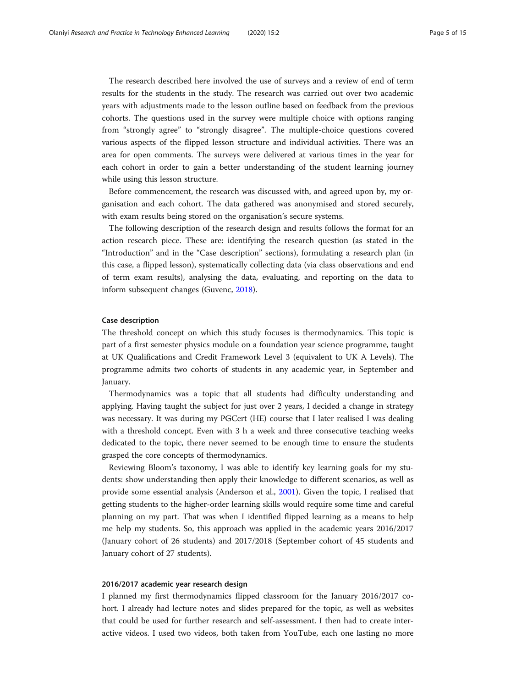The research described here involved the use of surveys and a review of end of term results for the students in the study. The research was carried out over two academic years with adjustments made to the lesson outline based on feedback from the previous cohorts. The questions used in the survey were multiple choice with options ranging from "strongly agree" to "strongly disagree". The multiple-choice questions covered various aspects of the flipped lesson structure and individual activities. There was an area for open comments. The surveys were delivered at various times in the year for each cohort in order to gain a better understanding of the student learning journey while using this lesson structure.

Before commencement, the research was discussed with, and agreed upon by, my organisation and each cohort. The data gathered was anonymised and stored securely, with exam results being stored on the organisation's secure systems.

The following description of the research design and results follows the format for an action research piece. These are: identifying the research question (as stated in the "Introduction" and in the "Case description" sections), formulating a research plan (in this case, a flipped lesson), systematically collecting data (via class observations and end of term exam results), analysing the data, evaluating, and reporting on the data to inform subsequent changes (Guvenc, [2018\)](#page-13-0).

# Case description

The threshold concept on which this study focuses is thermodynamics. This topic is part of a first semester physics module on a foundation year science programme, taught at UK Qualifications and Credit Framework Level 3 (equivalent to UK A Levels). The programme admits two cohorts of students in any academic year, in September and January.

Thermodynamics was a topic that all students had difficulty understanding and applying. Having taught the subject for just over 2 years, I decided a change in strategy was necessary. It was during my PGCert (HE) course that I later realised I was dealing with a threshold concept. Even with 3 h a week and three consecutive teaching weeks dedicated to the topic, there never seemed to be enough time to ensure the students grasped the core concepts of thermodynamics.

Reviewing Bloom's taxonomy, I was able to identify key learning goals for my students: show understanding then apply their knowledge to different scenarios, as well as provide some essential analysis (Anderson et al., [2001\)](#page-13-0). Given the topic, I realised that getting students to the higher-order learning skills would require some time and careful planning on my part. That was when I identified flipped learning as a means to help me help my students. So, this approach was applied in the academic years 2016/2017 (January cohort of 26 students) and 2017/2018 (September cohort of 45 students and January cohort of 27 students).

# 2016/2017 academic year research design

I planned my first thermodynamics flipped classroom for the January 2016/2017 cohort. I already had lecture notes and slides prepared for the topic, as well as websites that could be used for further research and self-assessment. I then had to create interactive videos. I used two videos, both taken from YouTube, each one lasting no more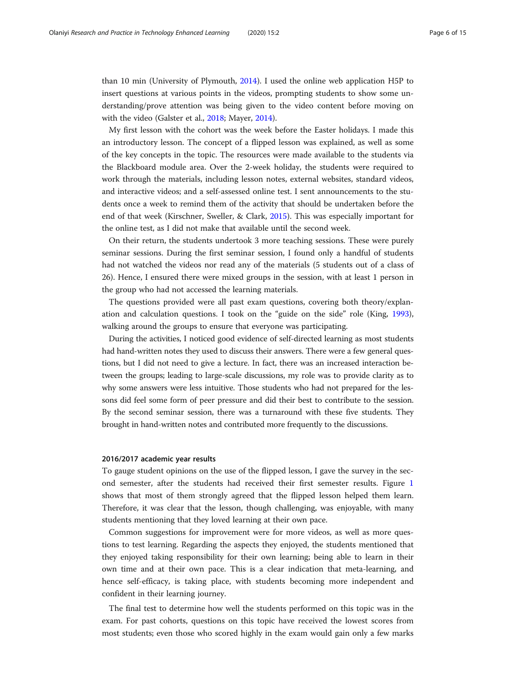than 10 min (University of Plymouth, [2014\)](#page-14-0). I used the online web application H5P to insert questions at various points in the videos, prompting students to show some understanding/prove attention was being given to the video content before moving on with the video (Galster et al., [2018;](#page-13-0) Mayer, [2014](#page-14-0)).

My first lesson with the cohort was the week before the Easter holidays. I made this an introductory lesson. The concept of a flipped lesson was explained, as well as some of the key concepts in the topic. The resources were made available to the students via the Blackboard module area. Over the 2-week holiday, the students were required to work through the materials, including lesson notes, external websites, standard videos, and interactive videos; and a self-assessed online test. I sent announcements to the students once a week to remind them of the activity that should be undertaken before the end of that week (Kirschner, Sweller, & Clark, [2015](#page-14-0)). This was especially important for the online test, as I did not make that available until the second week.

On their return, the students undertook 3 more teaching sessions. These were purely seminar sessions. During the first seminar session, I found only a handful of students had not watched the videos nor read any of the materials (5 students out of a class of 26). Hence, I ensured there were mixed groups in the session, with at least 1 person in the group who had not accessed the learning materials.

The questions provided were all past exam questions, covering both theory/explanation and calculation questions. I took on the "guide on the side" role (King, [1993](#page-14-0)), walking around the groups to ensure that everyone was participating.

During the activities, I noticed good evidence of self-directed learning as most students had hand-written notes they used to discuss their answers. There were a few general questions, but I did not need to give a lecture. In fact, there was an increased interaction between the groups; leading to large-scale discussions, my role was to provide clarity as to why some answers were less intuitive. Those students who had not prepared for the lessons did feel some form of peer pressure and did their best to contribute to the session. By the second seminar session, there was a turnaround with these five students. They brought in hand-written notes and contributed more frequently to the discussions.

# 2016/2017 academic year results

To gauge student opinions on the use of the flipped lesson, I gave the survey in the second semester, after the students had received their first semester results. Figure [1](#page-6-0) shows that most of them strongly agreed that the flipped lesson helped them learn. Therefore, it was clear that the lesson, though challenging, was enjoyable, with many students mentioning that they loved learning at their own pace.

Common suggestions for improvement were for more videos, as well as more questions to test learning. Regarding the aspects they enjoyed, the students mentioned that they enjoyed taking responsibility for their own learning; being able to learn in their own time and at their own pace. This is a clear indication that meta-learning, and hence self-efficacy, is taking place, with students becoming more independent and confident in their learning journey.

The final test to determine how well the students performed on this topic was in the exam. For past cohorts, questions on this topic have received the lowest scores from most students; even those who scored highly in the exam would gain only a few marks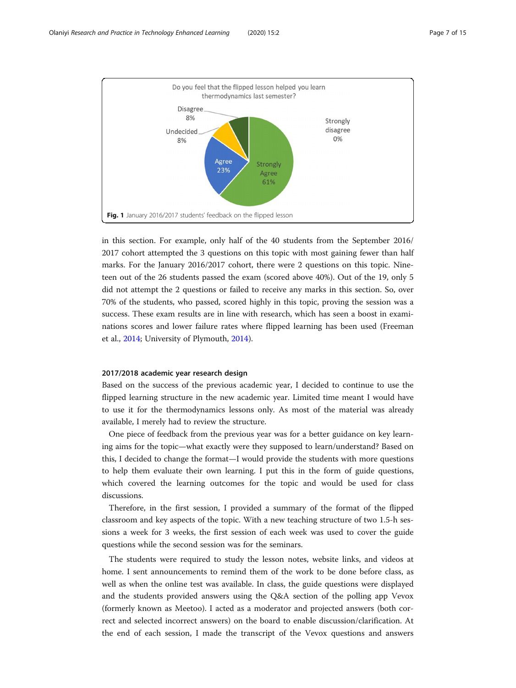<span id="page-6-0"></span>

in this section. For example, only half of the 40 students from the September 2016/ 2017 cohort attempted the 3 questions on this topic with most gaining fewer than half marks. For the January 2016/2017 cohort, there were 2 questions on this topic. Nineteen out of the 26 students passed the exam (scored above 40%). Out of the 19, only 5 did not attempt the 2 questions or failed to receive any marks in this section. So, over 70% of the students, who passed, scored highly in this topic, proving the session was a success. These exam results are in line with research, which has seen a boost in examinations scores and lower failure rates where flipped learning has been used (Freeman et al., [2014;](#page-13-0) University of Plymouth, [2014\)](#page-14-0).

# 2017/2018 academic year research design

Based on the success of the previous academic year, I decided to continue to use the flipped learning structure in the new academic year. Limited time meant I would have to use it for the thermodynamics lessons only. As most of the material was already available, I merely had to review the structure.

One piece of feedback from the previous year was for a better guidance on key learning aims for the topic—what exactly were they supposed to learn/understand? Based on this, I decided to change the format—I would provide the students with more questions to help them evaluate their own learning. I put this in the form of guide questions, which covered the learning outcomes for the topic and would be used for class discussions.

Therefore, in the first session, I provided a summary of the format of the flipped classroom and key aspects of the topic. With a new teaching structure of two 1.5-h sessions a week for 3 weeks, the first session of each week was used to cover the guide questions while the second session was for the seminars.

The students were required to study the lesson notes, website links, and videos at home. I sent announcements to remind them of the work to be done before class, as well as when the online test was available. In class, the guide questions were displayed and the students provided answers using the Q&A section of the polling app Vevox (formerly known as Meetoo). I acted as a moderator and projected answers (both correct and selected incorrect answers) on the board to enable discussion/clarification. At the end of each session, I made the transcript of the Vevox questions and answers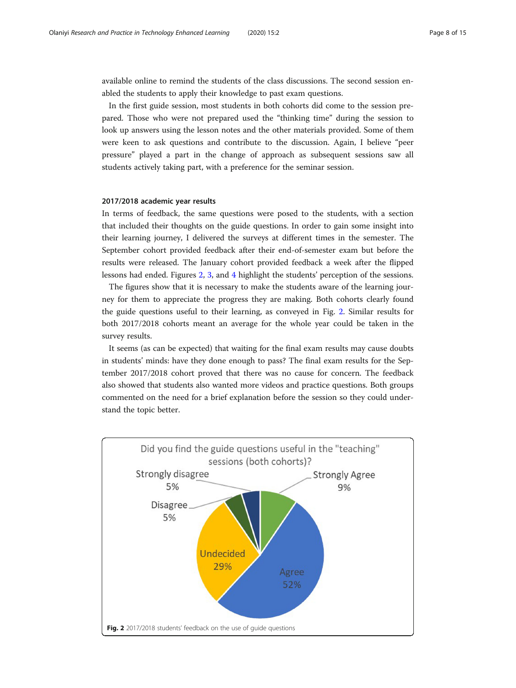available online to remind the students of the class discussions. The second session enabled the students to apply their knowledge to past exam questions.

In the first guide session, most students in both cohorts did come to the session prepared. Those who were not prepared used the "thinking time" during the session to look up answers using the lesson notes and the other materials provided. Some of them were keen to ask questions and contribute to the discussion. Again, I believe "peer pressure" played a part in the change of approach as subsequent sessions saw all students actively taking part, with a preference for the seminar session.

# 2017/2018 academic year results

In terms of feedback, the same questions were posed to the students, with a section that included their thoughts on the guide questions. In order to gain some insight into their learning journey, I delivered the surveys at different times in the semester. The September cohort provided feedback after their end-of-semester exam but before the results were released. The January cohort provided feedback a week after the flipped lessons had ended. Figures 2, [3](#page-8-0), and [4](#page-8-0) highlight the students' perception of the sessions.

The figures show that it is necessary to make the students aware of the learning journey for them to appreciate the progress they are making. Both cohorts clearly found the guide questions useful to their learning, as conveyed in Fig. 2. Similar results for both 2017/2018 cohorts meant an average for the whole year could be taken in the survey results.

It seems (as can be expected) that waiting for the final exam results may cause doubts in students' minds: have they done enough to pass? The final exam results for the September 2017/2018 cohort proved that there was no cause for concern. The feedback also showed that students also wanted more videos and practice questions. Both groups commented on the need for a brief explanation before the session so they could understand the topic better.

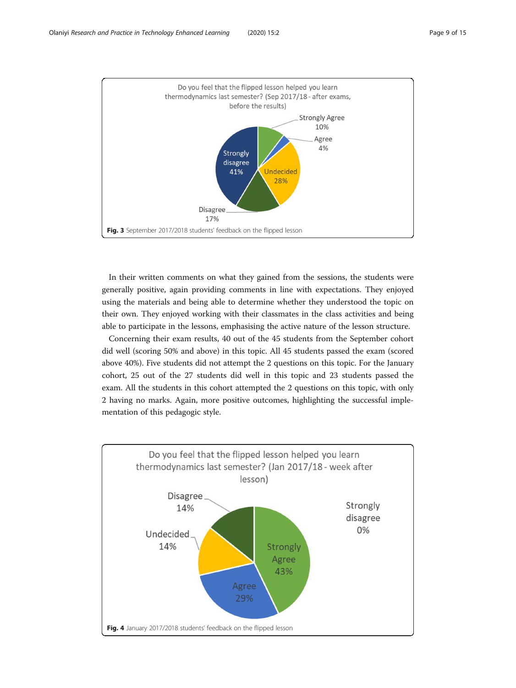<span id="page-8-0"></span>

In their written comments on what they gained from the sessions, the students were generally positive, again providing comments in line with expectations. They enjoyed using the materials and being able to determine whether they understood the topic on their own. They enjoyed working with their classmates in the class activities and being able to participate in the lessons, emphasising the active nature of the lesson structure.

Concerning their exam results, 40 out of the 45 students from the September cohort did well (scoring 50% and above) in this topic. All 45 students passed the exam (scored above 40%). Five students did not attempt the 2 questions on this topic. For the January cohort, 25 out of the 27 students did well in this topic and 23 students passed the exam. All the students in this cohort attempted the 2 questions on this topic, with only 2 having no marks. Again, more positive outcomes, highlighting the successful implementation of this pedagogic style.

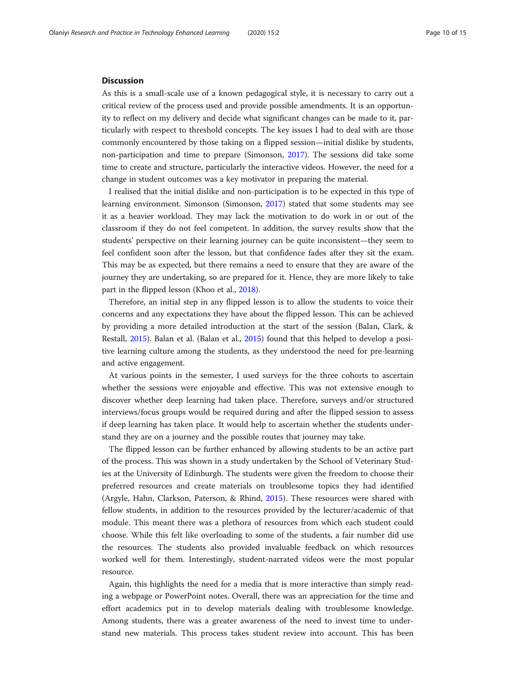# Discussion

As this is a small-scale use of a known pedagogical style, it is necessary to carry out a critical review of the process used and provide possible amendments. It is an opportunity to reflect on my delivery and decide what significant changes can be made to it, particularly with respect to threshold concepts. The key issues I had to deal with are those commonly encountered by those taking on a flipped session—initial dislike by students, non-participation and time to prepare (Simonson, [2017\)](#page-14-0). The sessions did take some time to create and structure, particularly the interactive videos. However, the need for a change in student outcomes was a key motivator in preparing the material.

I realised that the initial dislike and non-participation is to be expected in this type of learning environment. Simonson (Simonson, [2017](#page-14-0)) stated that some students may see it as a heavier workload. They may lack the motivation to do work in or out of the classroom if they do not feel competent. In addition, the survey results show that the students' perspective on their learning journey can be quite inconsistent—they seem to feel confident soon after the lesson, but that confidence fades after they sit the exam. This may be as expected, but there remains a need to ensure that they are aware of the journey they are undertaking, so are prepared for it. Hence, they are more likely to take part in the flipped lesson (Khoo et al., [2018](#page-14-0)).

Therefore, an initial step in any flipped lesson is to allow the students to voice their concerns and any expectations they have about the flipped lesson. This can be achieved by providing a more detailed introduction at the start of the session (Balan, Clark, & Restall, [2015\)](#page-13-0). Balan et al. (Balan et al., [2015\)](#page-13-0) found that this helped to develop a positive learning culture among the students, as they understood the need for pre-learning and active engagement.

At various points in the semester, I used surveys for the three cohorts to ascertain whether the sessions were enjoyable and effective. This was not extensive enough to discover whether deep learning had taken place. Therefore, surveys and/or structured interviews/focus groups would be required during and after the flipped session to assess if deep learning has taken place. It would help to ascertain whether the students understand they are on a journey and the possible routes that journey may take.

The flipped lesson can be further enhanced by allowing students to be an active part of the process. This was shown in a study undertaken by the School of Veterinary Studies at the University of Edinburgh. The students were given the freedom to choose their preferred resources and create materials on troublesome topics they had identified (Argyle, Hahn, Clarkson, Paterson, & Rhind, [2015\)](#page-13-0). These resources were shared with fellow students, in addition to the resources provided by the lecturer/academic of that module. This meant there was a plethora of resources from which each student could choose. While this felt like overloading to some of the students, a fair number did use the resources. The students also provided invaluable feedback on which resources worked well for them. Interestingly, student-narrated videos were the most popular resource.

Again, this highlights the need for a media that is more interactive than simply reading a webpage or PowerPoint notes. Overall, there was an appreciation for the time and effort academics put in to develop materials dealing with troublesome knowledge. Among students, there was a greater awareness of the need to invest time to understand new materials. This process takes student review into account. This has been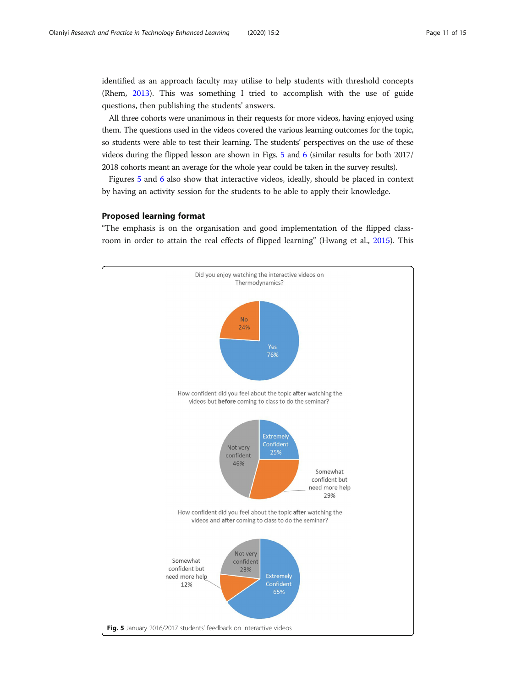identified as an approach faculty may utilise to help students with threshold concepts (Rhem, [2013\)](#page-14-0). This was something I tried to accomplish with the use of guide questions, then publishing the students' answers.

All three cohorts were unanimous in their requests for more videos, having enjoyed using them. The questions used in the videos covered the various learning outcomes for the topic, so students were able to test their learning. The students' perspectives on the use of these videos during the flipped lesson are shown in Figs. 5 and [6](#page-11-0) (similar results for both 2017/ 2018 cohorts meant an average for the whole year could be taken in the survey results).

Figures 5 and [6](#page-11-0) also show that interactive videos, ideally, should be placed in context by having an activity session for the students to be able to apply their knowledge.

# Proposed learning format

"The emphasis is on the organisation and good implementation of the flipped classroom in order to attain the real effects of flipped learning" (Hwang et al., [2015](#page-14-0)). This

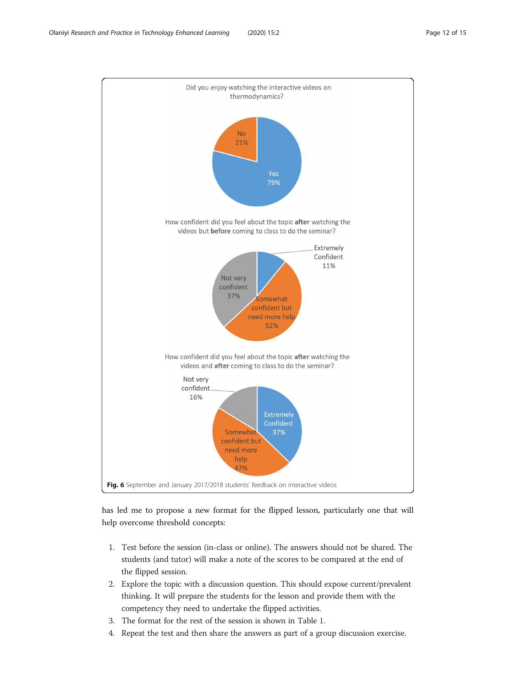<span id="page-11-0"></span>

has led me to propose a new format for the flipped lesson, particularly one that will help overcome threshold concepts:

- 1. Test before the session (in-class or online). The answers should not be shared. The students (and tutor) will make a note of the scores to be compared at the end of the flipped session.
- 2. Explore the topic with a discussion question. This should expose current/prevalent thinking. It will prepare the students for the lesson and provide them with the competency they need to undertake the flipped activities.
- 3. The format for the rest of the session is shown in Table [1.](#page-12-0)
- 4. Repeat the test and then share the answers as part of a group discussion exercise.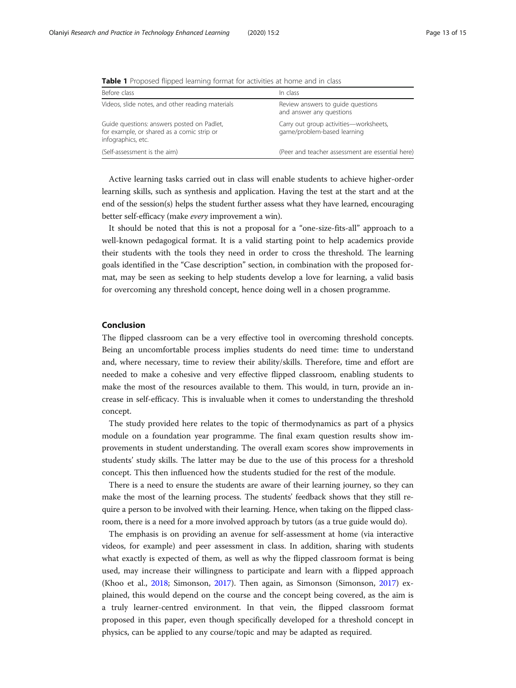| Before class                                                                                                   | In class                                                              |
|----------------------------------------------------------------------------------------------------------------|-----------------------------------------------------------------------|
| Videos, slide notes, and other reading materials                                                               | Review answers to quide questions<br>and answer any questions         |
| Guide questions: answers posted on Padlet,<br>for example, or shared as a comic strip or<br>infographics, etc. | Carry out group activities-worksheets,<br>game/problem-based learning |
| (Self-assessment is the aim)                                                                                   | (Peer and teacher assessment are essential here)                      |

<span id="page-12-0"></span>Table 1 Proposed flipped learning format for activities at home and in class

Active learning tasks carried out in class will enable students to achieve higher-order learning skills, such as synthesis and application. Having the test at the start and at the end of the session(s) helps the student further assess what they have learned, encouraging better self-efficacy (make every improvement a win).

It should be noted that this is not a proposal for a "one-size-fits-all" approach to a well-known pedagogical format. It is a valid starting point to help academics provide their students with the tools they need in order to cross the threshold. The learning goals identified in the "Case description" section, in combination with the proposed format, may be seen as seeking to help students develop a love for learning, a valid basis for overcoming any threshold concept, hence doing well in a chosen programme.

# Conclusion

The flipped classroom can be a very effective tool in overcoming threshold concepts. Being an uncomfortable process implies students do need time: time to understand and, where necessary, time to review their ability/skills. Therefore, time and effort are needed to make a cohesive and very effective flipped classroom, enabling students to make the most of the resources available to them. This would, in turn, provide an increase in self-efficacy. This is invaluable when it comes to understanding the threshold concept.

The study provided here relates to the topic of thermodynamics as part of a physics module on a foundation year programme. The final exam question results show improvements in student understanding. The overall exam scores show improvements in students' study skills. The latter may be due to the use of this process for a threshold concept. This then influenced how the students studied for the rest of the module.

There is a need to ensure the students are aware of their learning journey, so they can make the most of the learning process. The students' feedback shows that they still require a person to be involved with their learning. Hence, when taking on the flipped classroom, there is a need for a more involved approach by tutors (as a true guide would do).

The emphasis is on providing an avenue for self-assessment at home (via interactive videos, for example) and peer assessment in class. In addition, sharing with students what exactly is expected of them, as well as why the flipped classroom format is being used, may increase their willingness to participate and learn with a flipped approach (Khoo et al., [2018](#page-14-0); Simonson, [2017](#page-14-0)). Then again, as Simonson (Simonson, [2017](#page-14-0)) explained, this would depend on the course and the concept being covered, as the aim is a truly learner-centred environment. In that vein, the flipped classroom format proposed in this paper, even though specifically developed for a threshold concept in physics, can be applied to any course/topic and may be adapted as required.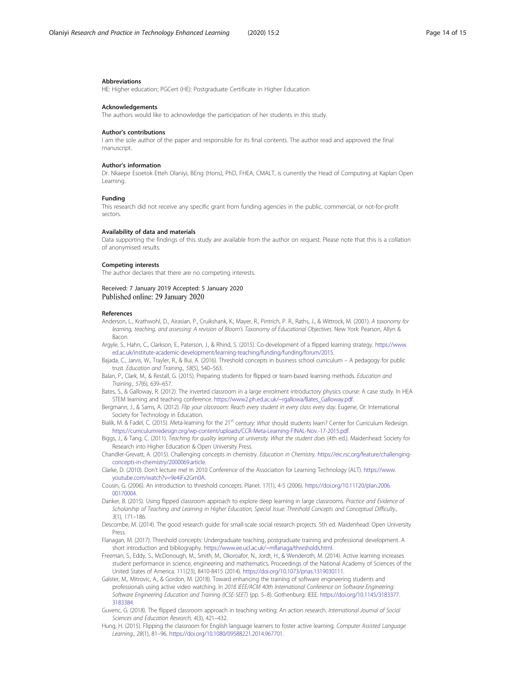## <span id="page-13-0"></span>Abbreviations

HE: Higher education; PGCert (HE): Postgraduate Certificate in Higher Education

# Acknowledgements

The authors would like to acknowledge the participation of her students in this study.

#### Author's contributions

I am the sole author of the paper and responsible for its final contents. The author read and approved the final manuscript.

# Author's information

Dr. Nkaepe Esoetok Etteh Olaniyi, BEng (Hons), PhD, FHEA, CMALT, is currently the Head of Computing at Kaplan Open Learning.

# Funding

This research did not receive any specific grant from funding agencies in the public, commercial, or not-for-profit sectors.

# Availability of data and materials

Data supporting the findings of this study are available from the author on request. Please note that this is a collation of anonymised results.

## Competing interests

The author declares that there are no competing interests.

# Received: 7 January 2019 Accepted: 5 January 2020 Published online: 29 January 2020

#### References

- Anderson, L., Krathwohl, D., Airasian, P., Cruikshank, K., Mayer, R., Pintrich, P. R., Raths, J., & Wittrock, M. (2001). A taxonomy for learning, teaching, and assessing: A revision of Bloom's Taxonomy of Educational Objectives. New York: Pearson, Allyn & Bacon.
- Argyle, S., Hahn, C., Clarkson, E., Paterson, J., & Rhind, S. (2015). Co-development of a flipped learning strategy. [https://www.](https://www.ed.ac.uk/institute-academic-development/learning-teaching/funding/funding/forum/2015) [ed.ac.uk/institute-academic-development/learning-teaching/funding/funding/forum/2015.](https://www.ed.ac.uk/institute-academic-development/learning-teaching/funding/funding/forum/2015)
- Bajada, C., Jarvis, W., Trayler, R., & Bui, A. (2016). Threshold concepts in business school curriculum A pedagogy for public trust. Education and Training., 58(5), 540–563.
- Balan, P., Clark, M., & Restall, G. (2015). Preparing students for flipped or team-based learning methods. Education and Training., 57(6), 639–657.
- Bates, S., & Galloway, R. (2012). The inverted classroom in a large enrolment introductory physics course: A case study. In HEA STEM learning and teaching conference. [https://www2.ph.ed.ac.uk/~rgallowa/Bates\\_Galloway.pdf.](https://www2.ph.ed.ac.uk/~rgallowa/Bates_Galloway.pdf)
- Bergmann, J., & Sams, A. (2012). Flip your classroom: Reach every student in every class every day. Eugene, Or: International Society for Technology in Education.
- Bialik, M. & Fadel, C. (2015). Meta-learning for the 21<sup>st</sup> century: What should students learn? Center for Curriculum Redesign. [https://curriculumredesign.org/wp-content/uploads/CCR-Meta-Learning-FINAL-Nov.-17-2015.pdf.](https://curriculumredesign.org/wp-content/uploads/CCR-Meta-Learning-FINAL-Nov.-17-2015.pdf)
- Biggs, J., & Tang, C. (2011). Teaching for quality learning at university. What the student does (4th ed.). Maidenhead: Society for Research into Higher Education & Open University Press.
- Chandler-Grevatt, A. (2015). Challenging concepts in chemistry. Education in Chemistry. [https://eic.rsc.org/feature/challenging](https://eic.rsc.org/feature/challenging-concepts-in-chemistry/2000069.article)[concepts-in-chemistry/2000069.article.](https://eic.rsc.org/feature/challenging-concepts-in-chemistry/2000069.article)
- Clarke, D. (2010). Don't lecture me! In 2010 Conference of the Association for Learning Technology (ALT). [https://www.](https://www.youtube.com/watch?v=9e4iFx2Gm0A) [youtube.com/watch?v=9e4iFx2Gm0A](https://www.youtube.com/watch?v=9e4iFx2Gm0A).
- Cousin, G. (2006). An introduction to threshold concepts. Planet. 17(1), 4-5 (2006). [https://doi.org/10.11120/plan.2006.](https://doi.org/10.11120/plan.2006.00170004) [00170004.](https://doi.org/10.11120/plan.2006.00170004)
- Danker, B. (2015). Using flipped classroom approach to explore deep learning in large classrooms. Practice and Evidence of Scholarship of Teaching and Learning in Higher Education, Special Issue: Threshold Concepts and Conceptual Difficulty., 3(1), 171–186.
- Descombe, M. (2014). The good research guide: for small-scale social research projects. 5th ed. Maidenhead: Open University Press.
- Flanagan, M. (2017). Threshold concepts: Undergraduate teaching, postgraduate training and professional development. A short introduction and bibliography. [https://www.ee.ucl.ac.uk/~mflanaga/thresholds.html.](https://www.ee.ucl.ac.uk/~mflanaga/thresholds.html)
- Freeman, S., Eddy, S., McDonough, M., Smith, M., Okoroafor, N., Jordt, H., & Wenderoth, M. (2014). Active learning increases student performance in science, engineering and mathematics. Proceedings of the National Academy of Sciences of the United States of America. 111(23), 8410-8415 (2014). <https://doi.org/10.1073/pnas.1319030111>.
- Galster, M., Mitrovic, A., & Gordon, M. (2018). Toward enhancing the training of software engineering students and professionals using active video watching. In 2018 IEEE/ACM 40th International Conference on Software Engineering: Software Engineering Education and Training (ICSE-SEET) (pp. 5–8). Gothenburg: IEEE. [https://doi.org/10.1145/3183377.](https://doi.org/10.1145/3183377.3183384) [3183384.](https://doi.org/10.1145/3183377.3183384)
- Guvenc, G. (2018). The flipped classroom approach in teaching writing: An action research. International Journal of Social Sciences and Education Research, 4(3), 421–432.
- Hung, H. (2015). Flipping the classroom for English language learners to foster active learning. Computer Assisted Language Learning., 28(1), 81–96. <https://doi.org/10.1080/09588221.2014.967701>.